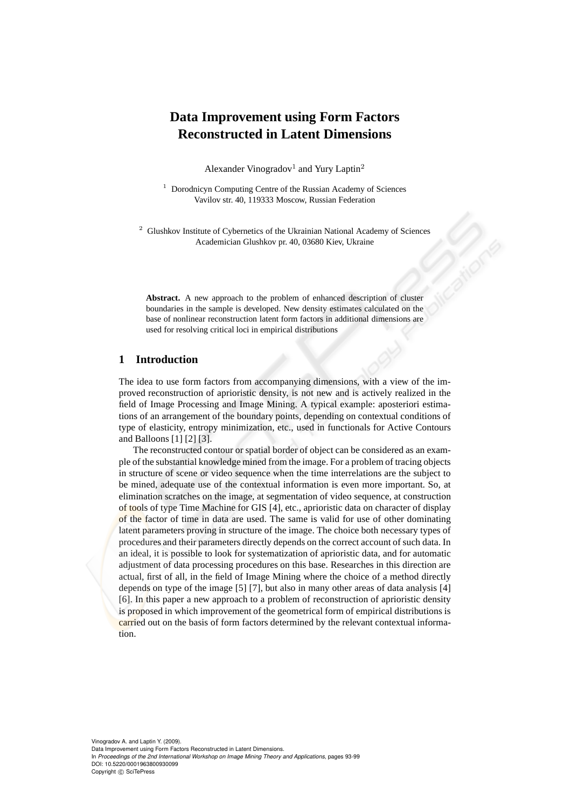# **Data Improvement using Form Factors Reconstructed in Latent Dimensions**

Alexander Vinogradov<sup>1</sup> and Yury Laptin<sup>2</sup>

<sup>1</sup> Dorodnicyn Computing Centre of the Russian Academy of Sciences Vavilov str. 40, 119333 Moscow, Russian Federation

<sup>2</sup> Glushkov Institute of Cybernetics of the Ukrainian National Academy of Sciences Academician Glushkov pr. 40, 03680 Kiev, Ukraine

**Abstract.** A new approach to the problem of enhanced description of cluster boundaries in the sample is developed. New density estimates calculated on the base of nonlinear reconstruction latent form factors in additional dimensions are used for resolving critical loci in empirical distributions

## **1 Introduction**

The idea to use form factors from accompanying dimensions, with a view of the improved reconstruction of aprioristic density, is not new and is actively realized in the field of Image Processing and Image Mining. A typical example: aposteriori estimations of an arrangement of the boundary points, depending on contextual conditions of type of elasticity, entropy minimization, etc., used in functionals for Active Contours and Balloons [1] [2] [3].

The reconstructed contour or spatial border of object can be considered as an example of the substantial knowledge mined from the image. For a problem of tracing objects in structure of scene or video sequence when the time interrelations are the subject to be mined, adequate use of the contextual information is even more important. So, at elimination scratches on the image, at segmentation of video sequence, at construction of tools of type Time Machine for GIS [4], etc., aprioristic data on character of display of the factor of time in data are used. The same is valid for use of other dominating latent parameters proving in structure of the image. The choice both necessary types of procedures and their parameters directly depends on the correct account of such data. In an ideal, it is possible to look for systematization of aprioristic data, and for automatic adjustment of data processing procedures on this base. Researches in this direction are actual, first of all, in the field of Image Mining where the choice of a method directly depends on type of the image [5] [7], but also in many other areas of data analysis [4] [6]. In this paper a new approach to a problem of reconstruction of aprioristic density is proposed in which improvement of the geometrical form of empirical distributions is carried out on the basis of form factors determined by the relevant contextual information.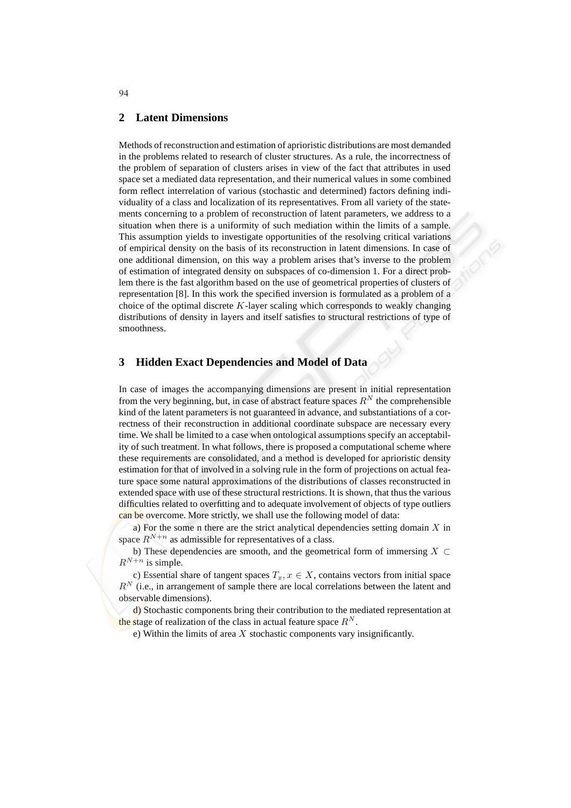#### **2 Latent Dimensions**

Methods of reconstruction and estimation of aprioristic distributions are most demanded in the problems related to research of cluster structures. As a rule, the incorrectness of the problem of separation of clusters arises in view of the fact that attributes in used space set a mediated data representation, and their numerical values in some combined form reflect interrelation of various (stochastic and determined) factors defining individuality of a class and localization of its representatives. From all variety of the statements concerning to a problem of reconstruction of latent parameters, we address to a situation when there is a uniformity of such mediation within the limits of a sample. This assumption yields to investigate opportunities of the resolving critical variations of empirical density on the basis of its reconstruction in latent dimensions. In case of one additional dimension, on this way a problem arises that's inverse to the problem of estimation of integrated density on subspaces of co-dimension 1. For a direct problem there is the fast algorithm based on the use of geometrical properties of clusters of representation [8]. In this work the specified inversion is formulated as a problem of a choice of the optimal discrete  $K$ -layer scaling which corresponds to weakly changing distributions of density in layers and itself satisfies to structural restrictions of type of smoothness.

## **3 Hidden Exact Dependencies and Model of Data**

In case of images the accompanying dimensions are present in initial representation from the very beginning, but, in case of abstract feature spaces  $R<sup>N</sup>$  the comprehensible kind of the latent parameters is not guaranteed in advance, and substantiations of a correctness of their reconstruction in additional coordinate subspace are necessary every time. We shall be limited to a case when ontological assumptions specify an acceptability of such treatment. In what follows, there is proposed a computational scheme where these requirements are consolidated, and a method is developed for aprioristic density estimation for that of involved in a solving rule in the form of projections on actual feature space some natural approximations of the distributions of classes reconstructed in extended space with use of these structural restrictions. It is shown, that thus the various difficulties related to overfitting and to adequate involvement of objects of type outliers can be overcome. More strictly, we shall use the following model of data:

a) For the some n there are the strict analytical dependencies setting domain  $X$  in space  $R^{N+n}$  as admissible for representatives of a class.

b) These dependencies are smooth, and the geometrical form of immersing  $X \subset$  $R^{N+n}$  is simple.

c) Essential share of tangent spaces  $T_x, x \in X$ , contains vectors from initial space  $R^N$  (i.e., in arrangement of sample there are local correlations between the latent and observable dimensions).

d) Stochastic components bring their contribution to the mediated representation at the stage of realization of the class in actual feature space  $R<sup>N</sup>$ .

e) Within the limits of area  $X$  stochastic components vary insignificantly.

94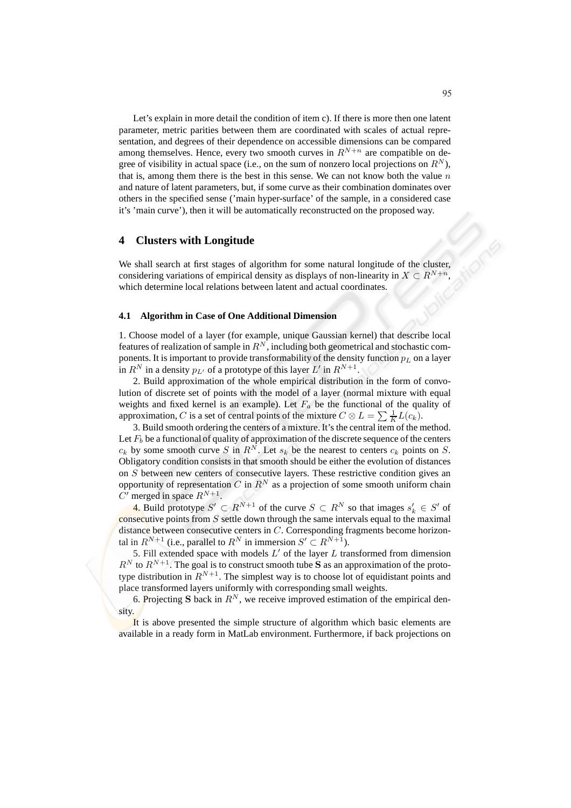Let's explain in more detail the condition of item c). If there is more then one latent parameter, metric parities between them are coordinated with scales of actual representation, and degrees of their dependence on accessible dimensions can be compared among themselves. Hence, every two smooth curves in  $R^{N+n}$  are compatible on degree of visibility in actual space (i.e., on the sum of nonzero local projections on  $R^N$ ), that is, among them there is the best in this sense. We can not know both the value  $n$ and nature of latent parameters, but, if some curve as their combination dominates over others in the specified sense ('main hyper-surface' of the sample, in a considered case it's 'main curve'), then it will be automatically reconstructed on the proposed way.

### **4 Clusters with Longitude**

We shall search at first stages of algorithm for some natural longitude of the cluster, considering variations of empirical density as displays of non-linearity in  $X \subset R^{N+n}$ which determine local relations between latent and actual coordinates.

#### **4.1 Algorithm in Case of One Additional Dimension**

1. Choose model of a layer (for example, unique Gaussian kernel) that describe local features of realization of sample in  $R^N$ , including both geometrical and stochastic components. It is important to provide transformability of the density function  $p<sub>L</sub>$  on a layer in  $R^N$  in a density  $p_{L'}$  of a prototype of this layer L' in  $R^{N+1}$ .

2. Build approximation of the whole empirical distribution in the form of convolution of discrete set of points with the model of a layer (normal mixture with equal weights and fixed kernel is an example). Let  $F_a$  be the functional of the quality of approximation, C is a set of central points of the mixture  $C \otimes L = \sum \frac{1}{K} L(c_k)$ .

3. Build smooth ordering the centers of a mixture. It's the central item of the method. Let  $F_b$  be a functional of quality of approximation of the discrete sequence of the centers  $c_k$  by some smooth curve S in  $R^N$ . Let  $s_k$  be the nearest to centers  $c_k$  points on S. Obligatory condition consists in that smooth should be either the evolution of distances on S between new centers of consecutive layers. These restrictive condition gives an opportunity of representation C in  $R^N$  as a projection of some smooth uniform chain  $C'$  merged in space  $R^{N+1}$ .

4. Build prototype  $S' \subset R^{N+1}$  of the curve  $S \subset R^N$  so that images  $s'_k \in S'$  of consecutive points from S settle down through the same intervals equal to the maximal distance between consecutive centers in C. Corresponding fragments become horizontal in  $R^{N+1}$  (i.e., parallel to  $R^N$  in immersion  $S' \subset R^{N+1}$ ).

5. Fill extended space with models  $L'$  of the layer  $L$  transformed from dimension  $R^N$  to  $R^{N+1}$ . The goal is to construct smooth tube S as an approximation of the prototype distribution in  $R^{N+1}$ . The simplest way is to choose lot of equidistant points and place transformed layers uniformly with corresponding small weights.

6. Projecting S back in  $R^N$ , we receive improved estimation of the empirical density.

It is above presented the simple structure of algorithm which basic elements are available in a ready form in MatLab environment. Furthermore, if back projections on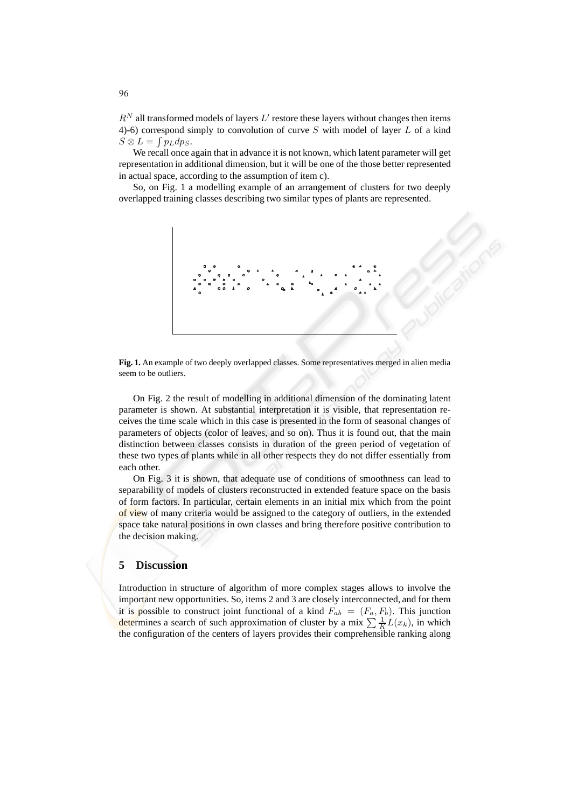$R^N$  all transformed models of layers  $L'$  restore these layers without changes then items 4)-6) correspond simply to convolution of curve  $S$  with model of layer  $L$  of a kind  $S \otimes L = \int p_L dp_S.$ 

We recall once again that in advance it is not known, which latent parameter will get representation in additional dimension, but it will be one of the those better represented in actual space, according to the assumption of item c).

So, on Fig. 1 a modelling example of an arrangement of clusters for two deeply overlapped training classes describing two similar types of plants are represented.

**Fig. 1.** An example of two deeply overlapped classes. Some representatives merged in alien media seem to be outliers.

On Fig. 2 the result of modelling in additional dimension of the dominating latent parameter is shown. At substantial interpretation it is visible, that representation receives the time scale which in this case is presented in the form of seasonal changes of parameters of objects (color of leaves, and so on). Thus it is found out, that the main distinction between classes consists in duration of the green period of vegetation of these two types of plants while in all other respects they do not differ essentially from each other.

On Fig. 3 it is shown, that adequate use of conditions of smoothness can lead to separability of models of clusters reconstructed in extended feature space on the basis of form factors. In particular, certain elements in an initial mix which from the point of view of many criteria would be assigned to the category of outliers, in the extended space take natural positions in own classes and bring therefore positive contribution to the decision making.

### **5 Discussion**

Introduction in structure of algorithm of more complex stages allows to involve the important new opportunities. So, items 2 and 3 are closely interconnected, and for them it is possible to construct joint functional of a kind  $F_{ab} = (F_a, F_b)$ . This junction determines a search of such approximation of cluster by a mix  $\sum \frac{1}{K} L(x_k)$ , in which the configuration of the centers of layers provides their comprehensible ranking along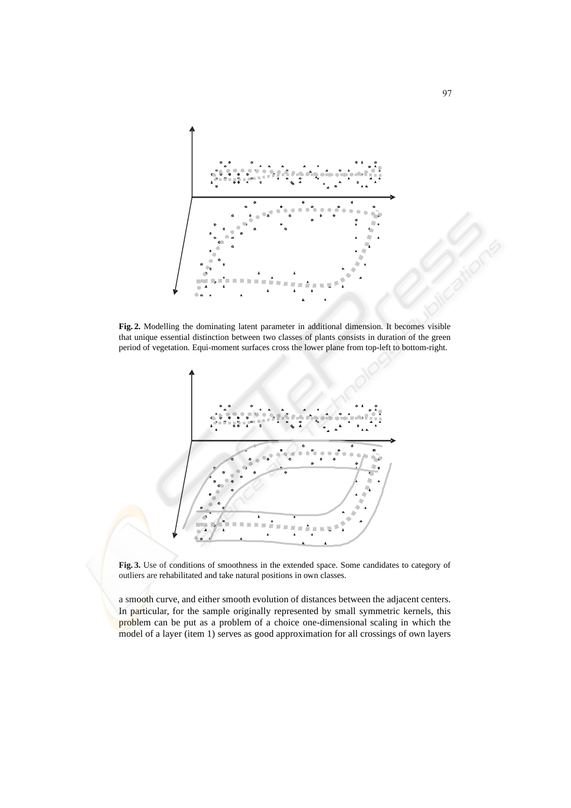

**Fig. 2.** Modelling the dominating latent parameter in additional dimension. It becomes visible that unique essential distinction between two classes of plants consists in duration of the green period of vegetation. Equi-moment surfaces cross the lower plane from top-left to bottom-right.



**Fig. 3.** Use of conditions of smoothness in the extended space. Some candidates to category of outliers are rehabilitated and take natural positions in own classes.

a smooth curve, and either smooth evolution of distances between the adjacent centers. In particular, for the sample originally represented by small symmetric kernels, this problem can be put as a problem of a choice one-dimensional scaling in which the model of a layer (item 1) serves as good approximation for all crossings of own layers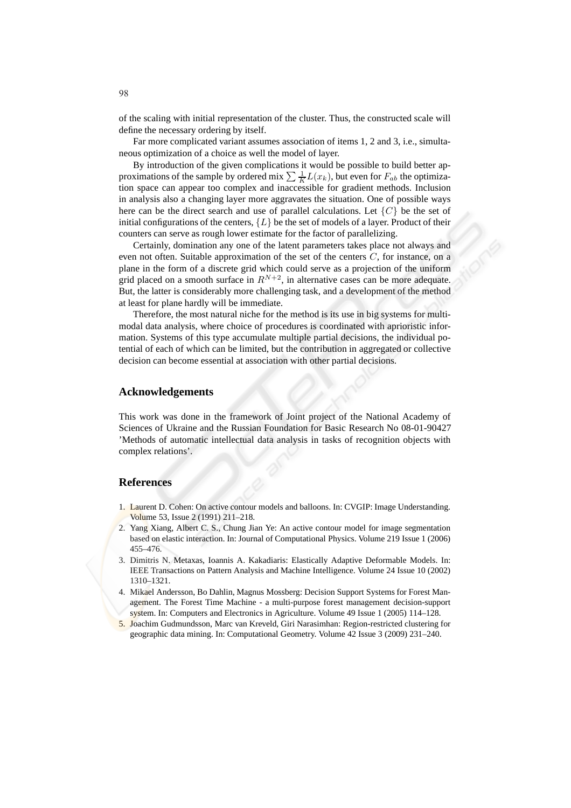of the scaling with initial representation of the cluster. Thus, the constructed scale will define the necessary ordering by itself.

Far more complicated variant assumes association of items 1, 2 and 3, i.e., simultaneous optimization of a choice as well the model of layer.

By introduction of the given complications it would be possible to build better approximations of the sample by ordered mix  $\sum \frac{1}{K} L(x_k)$ , but even for  $F_{ab}$  the optimization space can appear too complex and inaccessible for gradient methods. Inclusion in analysis also a changing layer more aggravates the situation. One of possible ways here can be the direct search and use of parallel calculations. Let  ${C}$  be the set of initial configurations of the centers,  $\{L\}$  be the set of models of a layer. Product of their counters can serve as rough lower estimate for the factor of parallelizing.

Certainly, domination any one of the latent parameters takes place not always and even not often. Suitable approximation of the set of the centers  $C$ , for instance, on a plane in the form of a discrete grid which could serve as a projection of the uniform grid placed on a smooth surface in  $R^{N+2}$ , in alternative cases can be more adequate. But, the latter is considerably more challenging task, and a development of the method at least for plane hardly will be immediate.

Therefore, the most natural niche for the method is its use in big systems for multimodal data analysis, where choice of procedures is coordinated with aprioristic information. Systems of this type accumulate multiple partial decisions, the individual potential of each of which can be limited, but the contribution in aggregated or collective decision can become essential at association with other partial decisions.

#### **Acknowledgements**

This work was done in the framework of Joint project of the National Academy of Sciences of Ukraine and the Russian Foundation for Basic Research No 08-01-90427 'Methods of automatic intellectual data analysis in tasks of recognition objects with complex relations'.

#### **References**

- 1. Laurent D. Cohen: On active contour models and balloons. In: CVGIP: Image Understanding. Volume 53, Issue 2 (1991) 211–218.
- 2. Yang Xiang, Albert C. S., Chung Jian Ye: An active contour model for image segmentation based on elastic interaction. In: Journal of Computational Physics. Volume 219 Issue 1 (2006) 455–476.
- 3. Dimitris N. Metaxas, Ioannis A. Kakadiaris: Elastically Adaptive Deformable Models. In: IEEE Transactions on Pattern Analysis and Machine Intelligence. Volume 24 Issue 10 (2002) 1310–1321.
- 4. Mikael Andersson, Bo Dahlin, Magnus Mossberg: Decision Support Systems for Forest Management. The Forest Time Machine - a multi-purpose forest management decision-support system. In: Computers and Electronics in Agriculture. Volume 49 Issue 1 (2005) 114–128.
- 5. Joachim Gudmundsson, Marc van Kreveld, Giri Narasimhan: Region-restricted clustering for geographic data mining. In: Computational Geometry. Volume 42 Issue 3 (2009) 231–240.